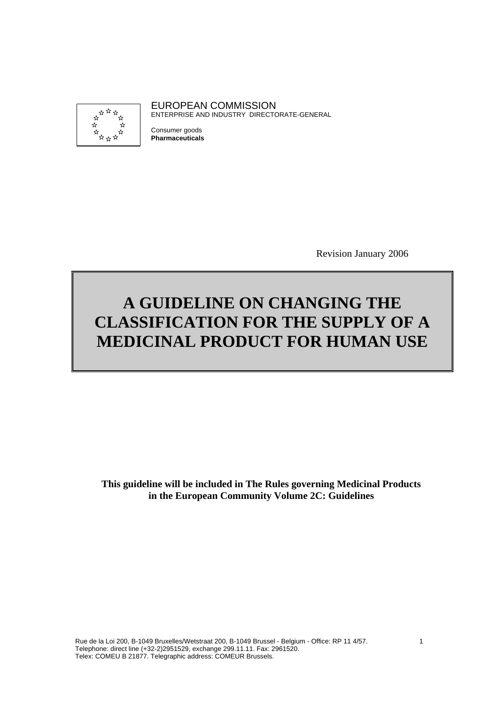

EUROPEAN COMMISSION ENTERPRISE AND INDUSTRY DIRECTORATE-GENERAL

Consumer goods **Pharmaceuticals**

Revision January 2006

# **A GUIDELINE ON CHANGING THE CLASSIFICATION FOR THE SUPPLY OF A MEDICINAL PRODUCT FOR HUMAN USE**

**This guideline will be included in The Rules governing Medicinal Products in the European Community Volume 2C: Guidelines**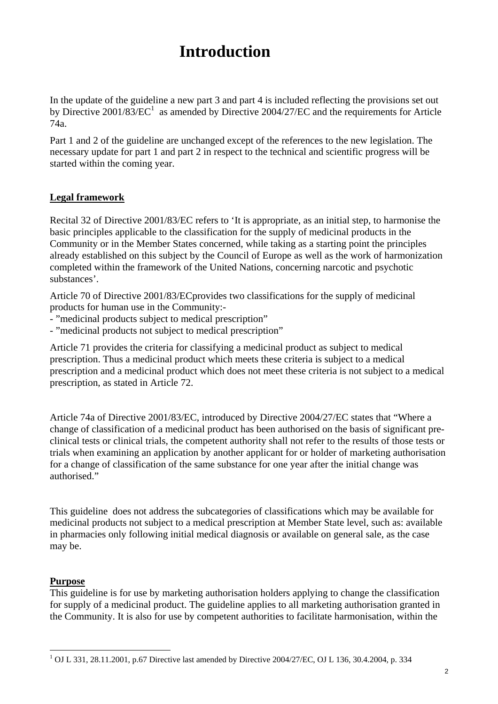# **Introduction**

In the update of the guideline a new part 3 and part 4 is included reflecting the provisions set out by Directive  $2001/83/EC^1$  as amended by Directive  $2004/27/EC$  and the requirements for Article 74a.

Part 1 and 2 of the guideline are unchanged except of the references to the new legislation. The necessary update for part 1 and part 2 in respect to the technical and scientific progress will be started within the coming year.

### **Legal framework**

Recital 32 of Directive 2001/83/EC refers to 'It is appropriate, as an initial step, to harmonise the basic principles applicable to the classification for the supply of medicinal products in the Community or in the Member States concerned, while taking as a starting point the principles already established on this subject by the Council of Europe as well as the work of harmonization completed within the framework of the United Nations, concerning narcotic and psychotic substances'.

Article 70 of Directive 2001/83/ECprovides two classifications for the supply of medicinal products for human use in the Community:-

- "medicinal products subject to medical prescription"
- "medicinal products not subject to medical prescription"

Article 71 provides the criteria for classifying a medicinal product as subject to medical prescription. Thus a medicinal product which meets these criteria is subject to a medical prescription and a medicinal product which does not meet these criteria is not subject to a medical prescription, as stated in Article 72.

Article 74a of Directive 2001/83/EC, introduced by Directive 2004/27/EC states that "Where a change of classification of a medicinal product has been authorised on the basis of significant preclinical tests or clinical trials, the competent authority shall not refer to the results of those tests or trials when examining an application by another applicant for or holder of marketing authorisation for a change of classification of the same substance for one year after the initial change was authorised."

This guideline does not address the subcategories of classifications which may be available for medicinal products not subject to a medical prescription at Member State level, such as: available in pharmacies only following initial medical diagnosis or available on general sale, as the case may be.

### **Purpose**

This guideline is for use by marketing authorisation holders applying to change the classification for supply of a medicinal product. The guideline applies to all marketing authorisation granted in the Community. It is also for use by competent authorities to facilitate harmonisation, within the

 $\overline{a}$  $1$  OJ L 331, 28.11.2001, p.67 Directive last amended by Directive 2004/27/EC, OJ L 136, 30.4.2004, p. 334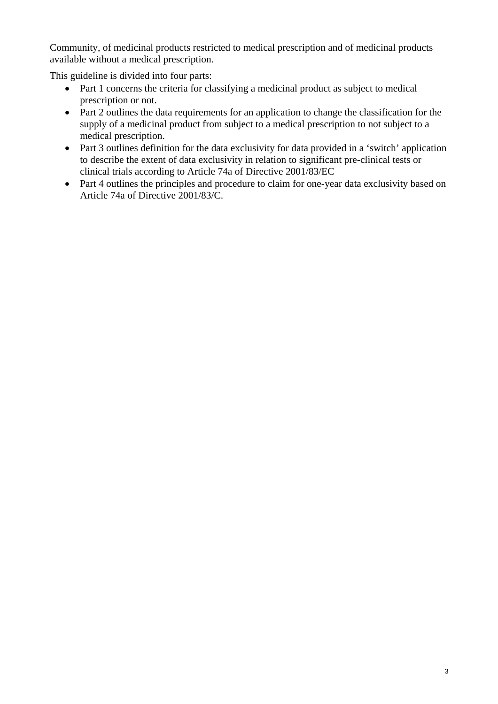Community, of medicinal products restricted to medical prescription and of medicinal products available without a medical prescription.

This guideline is divided into four parts:

- Part 1 concerns the criteria for classifying a medicinal product as subject to medical prescription or not.
- Part 2 outlines the data requirements for an application to change the classification for the supply of a medicinal product from subject to a medical prescription to not subject to a medical prescription.
- Part 3 outlines definition for the data exclusivity for data provided in a 'switch' application to describe the extent of data exclusivity in relation to significant pre-clinical tests or clinical trials according to Article 74a of Directive 2001/83/EC
- Part 4 outlines the principles and procedure to claim for one-year data exclusivity based on Article 74a of Directive 2001/83/C.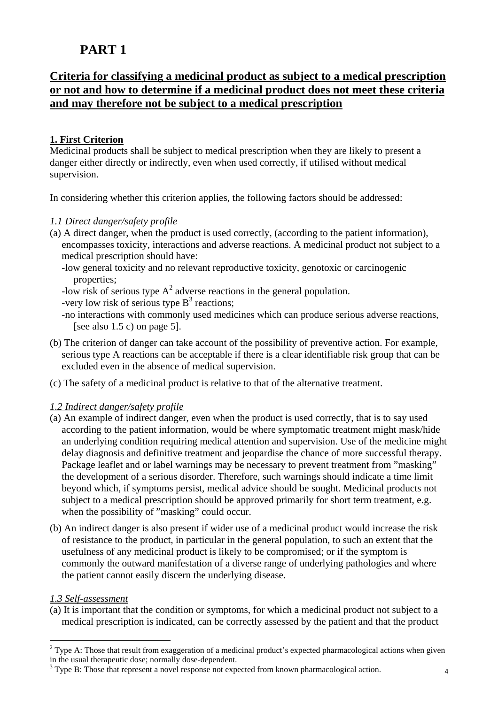# **Criteria for classifying a medicinal product as subject to a medical prescription or not and how to determine if a medicinal product does not meet these criteria and may therefore not be subject to a medical prescription**

### **1. First Criterion**

Medicinal products shall be subject to medical prescription when they are likely to present a danger either directly or indirectly, even when used correctly, if utilised without medical supervision.

In considering whether this criterion applies, the following factors should be addressed:

### *1.1 Direct danger/safety profile*

- (a) A direct danger, when the product is used correctly, (according to the patient information), encompasses toxicity, interactions and adverse reactions. A medicinal product not subject to a medical prescription should have:
	- -low general toxicity and no relevant reproductive toxicity, genotoxic or carcinogenic properties;
	- -low risk of serious type  $A^2$  adverse reactions in the general population.
	- -very low risk of serious type  $B^3$  reactions;
	- -no interactions with commonly used medicines which can produce serious adverse reactions, [see also  $1.5$  c) on page  $5$ ].
- (b) The criterion of danger can take account of the possibility of preventive action. For example, serious type A reactions can be acceptable if there is a clear identifiable risk group that can be excluded even in the absence of medical supervision.
- (c) The safety of a medicinal product is relative to that of the alternative treatment.

#### *1.2 Indirect danger/safety profile*

- (a) An example of indirect danger, even when the product is used correctly, that is to say used according to the patient information, would be where symptomatic treatment might mask/hide an underlying condition requiring medical attention and supervision. Use of the medicine might delay diagnosis and definitive treatment and jeopardise the chance of more successful therapy. Package leaflet and or label warnings may be necessary to prevent treatment from "masking" the development of a serious disorder. Therefore, such warnings should indicate a time limit beyond which, if symptoms persist, medical advice should be sought. Medicinal products not subject to a medical prescription should be approved primarily for short term treatment, e.g. when the possibility of "masking" could occur.
- (b) An indirect danger is also present if wider use of a medicinal product would increase the risk of resistance to the product, in particular in the general population, to such an extent that the usefulness of any medicinal product is likely to be compromised; or if the symptom is commonly the outward manifestation of a diverse range of underlying pathologies and where the patient cannot easily discern the underlying disease.

### *1.3 Self-assessment*

 $\overline{a}$ 

(a) It is important that the condition or symptoms, for which a medicinal product not subject to a medical prescription is indicated, can be correctly assessed by the patient and that the product

<sup>&</sup>lt;sup>2</sup> Type A: Those that result from exaggeration of a medicinal product's expected pharmacological actions when given in the usual therapeutic dose; normally dose-dependent.

 $3$  Type B: Those that represent a novel response not expected from known pharmacological action.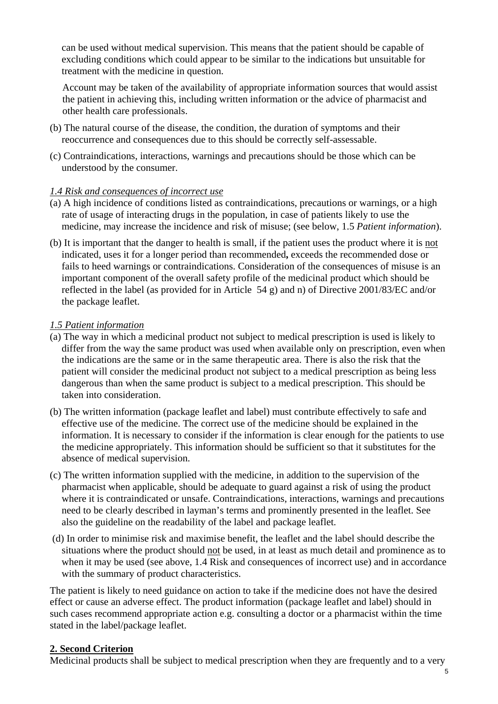can be used without medical supervision. This means that the patient should be capable of excluding conditions which could appear to be similar to the indications but unsuitable for treatment with the medicine in question.

Account may be taken of the availability of appropriate information sources that would assist the patient in achieving this, including written information or the advice of pharmacist and other health care professionals.

- (b) The natural course of the disease, the condition, the duration of symptoms and their reoccurrence and consequences due to this should be correctly self-assessable.
- (c) Contraindications, interactions, warnings and precautions should be those which can be understood by the consumer.

### *1.4 Risk and consequences of incorrect use*

- (a) A high incidence of conditions listed as contraindications, precautions or warnings, or a high rate of usage of interacting drugs in the population, in case of patients likely to use the medicine, may increase the incidence and risk of misuse; (see below, 1.5 *Patient information*).
- (b) It is important that the danger to health is small, if the patient uses the product where it is not indicated, uses it for a longer period than recommended**,** exceeds the recommended dose or fails to heed warnings or contraindications. Consideration of the consequences of misuse is an important component of the overall safety profile of the medicinal product which should be reflected in the label (as provided for in Article 54 g) and n) of Directive 2001/83/EC and/or the package leaflet.

#### *1.5 Patient information*

- (a) The way in which a medicinal product not subject to medical prescription is used is likely to differ from the way the same product was used when available only on prescription, even when the indications are the same or in the same therapeutic area. There is also the risk that the patient will consider the medicinal product not subject to a medical prescription as being less dangerous than when the same product is subject to a medical prescription. This should be taken into consideration.
- (b) The written information (package leaflet and label) must contribute effectively to safe and effective use of the medicine. The correct use of the medicine should be explained in the information. It is necessary to consider if the information is clear enough for the patients to use the medicine appropriately. This information should be sufficient so that it substitutes for the absence of medical supervision.
- (c) The written information supplied with the medicine, in addition to the supervision of the pharmacist when applicable, should be adequate to guard against a risk of using the product where it is contraindicated or unsafe. Contraindications, interactions, warnings and precautions need to be clearly described in layman's terms and prominently presented in the leaflet. See also the guideline on the readability of the label and package leaflet.
- (d) In order to minimise risk and maximise benefit, the leaflet and the label should describe the situations where the product should not be used, in at least as much detail and prominence as to when it may be used (see above, 1.4 Risk and consequences of incorrect use) and in accordance with the summary of product characteristics.

The patient is likely to need guidance on action to take if the medicine does not have the desired effect or cause an adverse effect. The product information (package leaflet and label) should in such cases recommend appropriate action e.g. consulting a doctor or a pharmacist within the time stated in the label/package leaflet.

### **2. Second Criterion**

Medicinal products shall be subject to medical prescription when they are frequently and to a very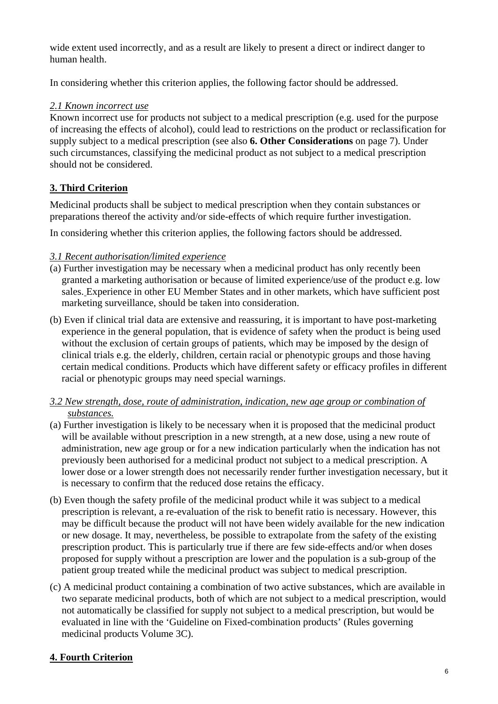wide extent used incorrectly, and as a result are likely to present a direct or indirect danger to human health.

In considering whether this criterion applies, the following factor should be addressed.

### *2.1 Known incorrect use*

Known incorrect use for products not subject to a medical prescription (e.g. used for the purpose of increasing the effects of alcohol), could lead to restrictions on the product or reclassification for supply subject to a medical prescription (see also **6. Other Considerations** on page 7). Under such circumstances, classifying the medicinal product as not subject to a medical prescription should not be considered.

### **3. Third Criterion**

Medicinal products shall be subject to medical prescription when they contain substances or preparations thereof the activity and/or side-effects of which require further investigation.

In considering whether this criterion applies, the following factors should be addressed.

### *3.1 Recent authorisation/limited experience*

- (a) Further investigation may be necessary when a medicinal product has only recently been granted a marketing authorisation or because of limited experience/use of the product e.g. low sales. Experience in other EU Member States and in other markets, which have sufficient post marketing surveillance, should be taken into consideration.
- (b) Even if clinical trial data are extensive and reassuring, it is important to have post-marketing experience in the general population, that is evidence of safety when the product is being used without the exclusion of certain groups of patients, which may be imposed by the design of clinical trials e.g. the elderly, children, certain racial or phenotypic groups and those having certain medical conditions. Products which have different safety or efficacy profiles in different racial or phenotypic groups may need special warnings.
- *3.2 New strength, dose, route of administration, indication, new age group or combination of substances.*
- (a) Further investigation is likely to be necessary when it is proposed that the medicinal product will be available without prescription in a new strength, at a new dose, using a new route of administration, new age group or for a new indication particularly when the indication has not previously been authorised for a medicinal product not subject to a medical prescription. A lower dose or a lower strength does not necessarily render further investigation necessary, but it is necessary to confirm that the reduced dose retains the efficacy.
- (b) Even though the safety profile of the medicinal product while it was subject to a medical prescription is relevant, a re-evaluation of the risk to benefit ratio is necessary. However, this may be difficult because the product will not have been widely available for the new indication or new dosage. It may, nevertheless, be possible to extrapolate from the safety of the existing prescription product. This is particularly true if there are few side-effects and/or when doses proposed for supply without a prescription are lower and the population is a sub-group of the patient group treated while the medicinal product was subject to medical prescription.
- (c) A medicinal product containing a combination of two active substances, which are available in two separate medicinal products, both of which are not subject to a medical prescription, would not automatically be classified for supply not subject to a medical prescription, but would be evaluated in line with the 'Guideline on Fixed-combination products' (Rules governing medicinal products Volume 3C).

## **4. Fourth Criterion**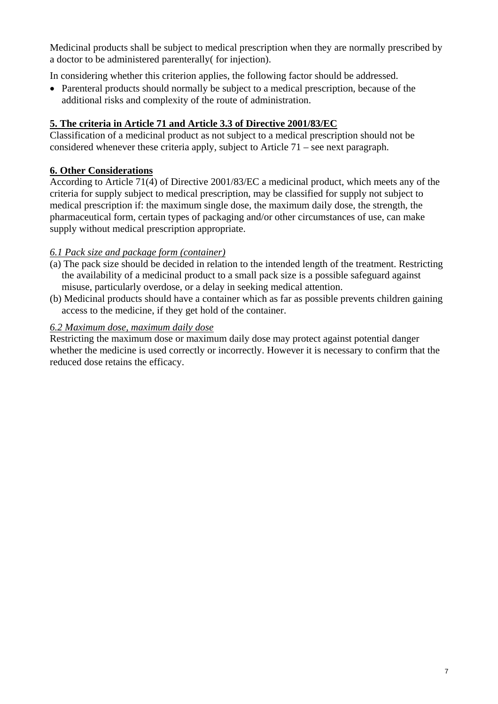Medicinal products shall be subject to medical prescription when they are normally prescribed by a doctor to be administered parenterally( for injection).

In considering whether this criterion applies, the following factor should be addressed.

• Parenteral products should normally be subject to a medical prescription, because of the additional risks and complexity of the route of administration.

### **5. The criteria in Article 71 and Article 3.3 of Directive 2001/83/EC**

Classification of a medicinal product as not subject to a medical prescription should not be considered whenever these criteria apply, subject to Article 71 – see next paragraph.

### **6. Other Considerations**

According to Article 71(4) of Directive 2001/83/EC a medicinal product, which meets any of the criteria for supply subject to medical prescription, may be classified for supply not subject to medical prescription if: the maximum single dose, the maximum daily dose, the strength, the pharmaceutical form, certain types of packaging and/or other circumstances of use, can make supply without medical prescription appropriate.

### *6.1 Pack size and package form (container)*

- (a) The pack size should be decided in relation to the intended length of the treatment. Restricting the availability of a medicinal product to a small pack size is a possible safeguard against misuse, particularly overdose, or a delay in seeking medical attention.
- (b) Medicinal products should have a container which as far as possible prevents children gaining access to the medicine, if they get hold of the container.

### *6.2 Maximum dose, maximum daily dose*

Restricting the maximum dose or maximum daily dose may protect against potential danger whether the medicine is used correctly or incorrectly. However it is necessary to confirm that the reduced dose retains the efficacy.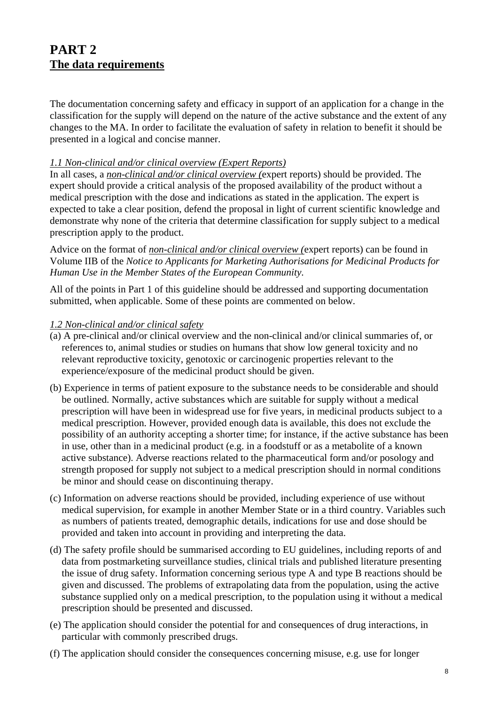# **PART 2 The data requirements**

The documentation concerning safety and efficacy in support of an application for a change in the classification for the supply will depend on the nature of the active substance and the extent of any changes to the MA. In order to facilitate the evaluation of safety in relation to benefit it should be presented in a logical and concise manner.

### *1.1 Non-clinical and/or clinical overview (Expert Reports)*

In all cases, a *non-clinical and/or clinical overview (*expert reports) should be provided. The expert should provide a critical analysis of the proposed availability of the product without a medical prescription with the dose and indications as stated in the application. The expert is expected to take a clear position, defend the proposal in light of current scientific knowledge and demonstrate why none of the criteria that determine classification for supply subject to a medical prescription apply to the product.

Advice on the format of *non-clinical and/or clinical overview (*expert reports) can be found in Volume IIB of the *Notice to Applicants for Marketing Authorisations for Medicinal Products for Human Use in the Member States of the European Community*.

All of the points in Part 1 of this guideline should be addressed and supporting documentation submitted, when applicable. Some of these points are commented on below.

#### *1.2 Non-clinical and/or clinical safety*

- (a) A pre-clinical and/or clinical overview and the non-clinical and/or clinical summaries of, or references to, animal studies or studies on humans that show low general toxicity and no relevant reproductive toxicity, genotoxic or carcinogenic properties relevant to the experience/exposure of the medicinal product should be given.
- (b) Experience in terms of patient exposure to the substance needs to be considerable and should be outlined. Normally, active substances which are suitable for supply without a medical prescription will have been in widespread use for five years, in medicinal products subject to a medical prescription. However, provided enough data is available, this does not exclude the possibility of an authority accepting a shorter time; for instance, if the active substance has been in use, other than in a medicinal product (e.g. in a foodstuff or as a metabolite of a known active substance). Adverse reactions related to the pharmaceutical form and/or posology and strength proposed for supply not subject to a medical prescription should in normal conditions be minor and should cease on discontinuing therapy.
- (c) Information on adverse reactions should be provided, including experience of use without medical supervision, for example in another Member State or in a third country. Variables such as numbers of patients treated, demographic details, indications for use and dose should be provided and taken into account in providing and interpreting the data.
- (d) The safety profile should be summarised according to EU guidelines, including reports of and data from postmarketing surveillance studies, clinical trials and published literature presenting the issue of drug safety. Information concerning serious type A and type B reactions should be given and discussed. The problems of extrapolating data from the population, using the active substance supplied only on a medical prescription, to the population using it without a medical prescription should be presented and discussed.
- (e) The application should consider the potential for and consequences of drug interactions, in particular with commonly prescribed drugs.
- (f) The application should consider the consequences concerning misuse, e.g. use for longer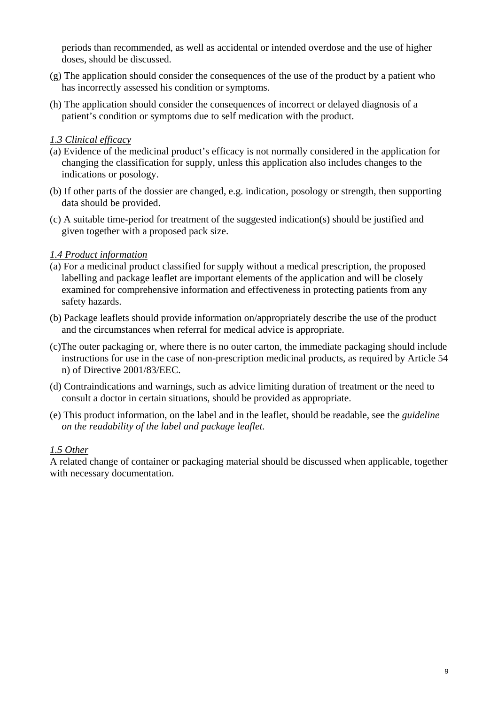periods than recommended, as well as accidental or intended overdose and the use of higher doses, should be discussed.

- (g) The application should consider the consequences of the use of the product by a patient who has incorrectly assessed his condition or symptoms.
- (h) The application should consider the consequences of incorrect or delayed diagnosis of a patient's condition or symptoms due to self medication with the product.

### *1.3 Clinical efficacy*

- (a) Evidence of the medicinal product's efficacy is not normally considered in the application for changing the classification for supply, unless this application also includes changes to the indications or posology.
- (b) If other parts of the dossier are changed, e.g. indication, posology or strength, then supporting data should be provided.
- (c) A suitable time-period for treatment of the suggested indication(s) should be justified and given together with a proposed pack size.

### *1.4 Product information*

- (a) For a medicinal product classified for supply without a medical prescription, the proposed labelling and package leaflet are important elements of the application and will be closely examined for comprehensive information and effectiveness in protecting patients from any safety hazards.
- (b) Package leaflets should provide information on/appropriately describe the use of the product and the circumstances when referral for medical advice is appropriate.
- (c)The outer packaging or, where there is no outer carton, the immediate packaging should include instructions for use in the case of non-prescription medicinal products, as required by Article 54 n) of Directive 2001/83/EEC.
- (d) Contraindications and warnings, such as advice limiting duration of treatment or the need to consult a doctor in certain situations, should be provided as appropriate.
- (e) This product information, on the label and in the leaflet, should be readable, see the *guideline on the readability of the label and package leaflet.*

### *1.5 Other*

A related change of container or packaging material should be discussed when applicable, together with necessary documentation.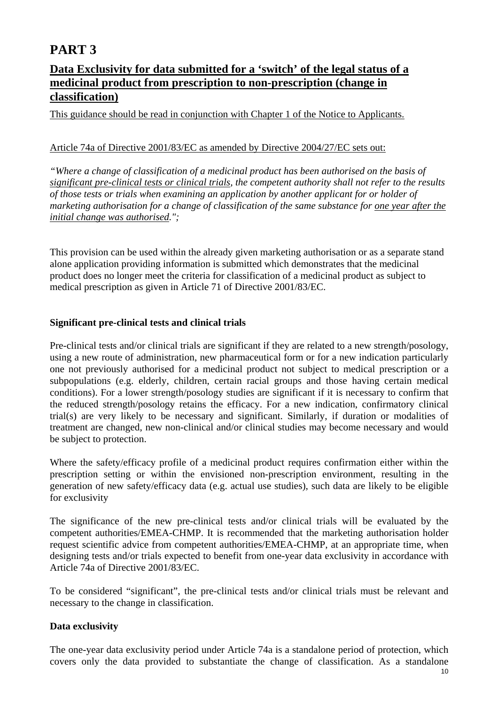## **Data Exclusivity for data submitted for a 'switch' of the legal status of a medicinal product from prescription to non-prescription (change in classification)**

This guidance should be read in conjunction with Chapter 1 of the Notice to Applicants.

### Article 74a of Directive 2001/83/EC as amended by Directive 2004/27/EC sets out:

*"Where a change of classification of a medicinal product has been authorised on the basis of significant pre-clinical tests or clinical trials, the competent authority shall not refer to the results of those tests or trials when examining an application by another applicant for or holder of marketing authorisation for a change of classification of the same substance for one year after the initial change was authorised.";* 

This provision can be used within the already given marketing authorisation or as a separate stand alone application providing information is submitted which demonstrates that the medicinal product does no longer meet the criteria for classification of a medicinal product as subject to medical prescription as given in Article 71 of Directive 2001/83/EC.

### **Significant pre-clinical tests and clinical trials**

Pre-clinical tests and/or clinical trials are significant if they are related to a new strength/posology, using a new route of administration, new pharmaceutical form or for a new indication particularly one not previously authorised for a medicinal product not subject to medical prescription or a subpopulations (e.g. elderly, children, certain racial groups and those having certain medical conditions). For a lower strength/posology studies are significant if it is necessary to confirm that the reduced strength/posology retains the efficacy. For a new indication, confirmatory clinical trial(s) are very likely to be necessary and significant. Similarly, if duration or modalities of treatment are changed, new non-clinical and/or clinical studies may become necessary and would be subject to protection.

Where the safety/efficacy profile of a medicinal product requires confirmation either within the prescription setting or within the envisioned non-prescription environment, resulting in the generation of new safety/efficacy data (e.g. actual use studies), such data are likely to be eligible for exclusivity

The significance of the new pre-clinical tests and/or clinical trials will be evaluated by the competent authorities/EMEA-CHMP. It is recommended that the marketing authorisation holder request scientific advice from competent authorities/EMEA-CHMP, at an appropriate time, when designing tests and/or trials expected to benefit from one-year data exclusivity in accordance with Article 74a of Directive 2001/83/EC.

To be considered "significant", the pre-clinical tests and/or clinical trials must be relevant and necessary to the change in classification.

### **Data exclusivity**

The one-year data exclusivity period under Article 74a is a standalone period of protection, which covers only the data provided to substantiate the change of classification. As a standalone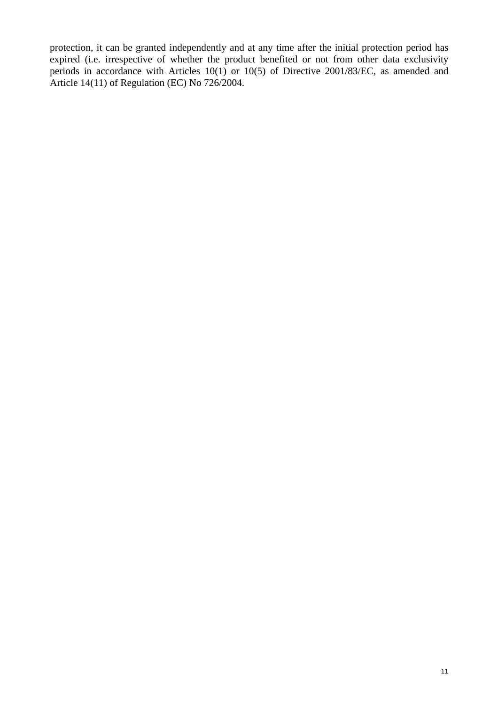protection, it can be granted independently and at any time after the initial protection period has expired (i.e. irrespective of whether the product benefited or not from other data exclusivity periods in accordance with Articles 10(1) or 10(5) of Directive 2001/83/EC, as amended and Article 14(11) of Regulation (EC) No 726/2004.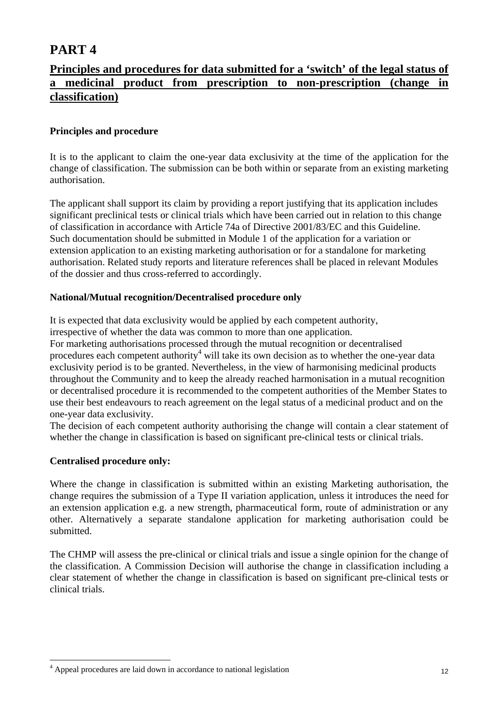## **Principles and procedures for data submitted for a 'switch' of the legal status of a medicinal product from prescription to non-prescription (change in classification)**

### **Principles and procedure**

It is to the applicant to claim the one-year data exclusivity at the time of the application for the change of classification. The submission can be both within or separate from an existing marketing authorisation.

The applicant shall support its claim by providing a report justifying that its application includes significant preclinical tests or clinical trials which have been carried out in relation to this change of classification in accordance with Article 74a of Directive 2001/83/EC and this Guideline. Such documentation should be submitted in Module 1 of the application for a variation or extension application to an existing marketing authorisation or for a standalone for marketing authorisation. Related study reports and literature references shall be placed in relevant Modules of the dossier and thus cross-referred to accordingly.

### **National/Mutual recognition/Decentralised procedure only**

It is expected that data exclusivity would be applied by each competent authority,

irrespective of whether the data was common to more than one application.

For marketing authorisations processed through the mutual recognition or decentralised procedures each competent authority<sup>4</sup> will take its own decision as to whether the one-year data exclusivity period is to be granted. Nevertheless, in the view of harmonising medicinal products throughout the Community and to keep the already reached harmonisation in a mutual recognition or decentralised procedure it is recommended to the competent authorities of the Member States to use their best endeavours to reach agreement on the legal status of a medicinal product and on the one-year data exclusivity.

The decision of each competent authority authorising the change will contain a clear statement of whether the change in classification is based on significant pre-clinical tests or clinical trials.

### **Centralised procedure only:**

 $\overline{a}$ 

Where the change in classification is submitted within an existing Marketing authorisation, the change requires the submission of a Type II variation application, unless it introduces the need for an extension application e.g. a new strength, pharmaceutical form, route of administration or any other. Alternatively a separate standalone application for marketing authorisation could be submitted.

The CHMP will assess the pre-clinical or clinical trials and issue a single opinion for the change of the classification. A Commission Decision will authorise the change in classification including a clear statement of whether the change in classification is based on significant pre-clinical tests or clinical trials.

<sup>&</sup>lt;sup>4</sup> Appeal procedures are laid down in accordance to national legislation